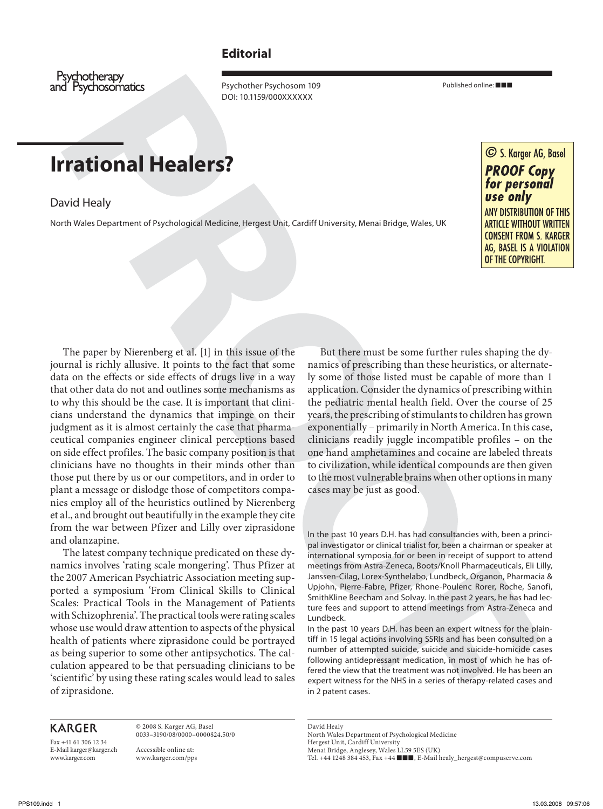## **Editorial**

Psychotherapy and Psychosomatics

 Psychother Psychosom 109 DOI: 10.1159/000XXXXXX

Published online:  $\blacksquare$   $\blacksquare$ 

# **Irrational Healers?**

### David Healy

North Wales Department of Psychological Medicine, Hergest Unit, Cardiff University, Menai Bridge, Wales, UK

S. Karger AG, Basel **PROOF Copy** for personal **USE ONly ANY DISTRIBUTION OF THIS ARTICLE WITHOUT WRITTEN CONSENT FROM S. KARGER** AG, BASEL IS A VIOLATION OF THE COPYRIGHT.

 The paper by Nierenberg et al. [1] in this issue of the journal is richly allusive. It points to the fact that some data on the effects or side effects of drugs live in a way that other data do not and outlines some mechanisms as to why this should be the case. It is important that clinicians understand the dynamics that impinge on their judgment as it is almost certainly the case that pharmaceutical companies engineer clinical perceptions based on side effect profiles. The basic company position is that clinicians have no thoughts in their minds other than those put there by us or our competitors, and in order to plant a message or dislodge those of competitors companies employ all of the heuristics outlined by Nierenberg et al., and brought out beautifully in the example they cite from the war between Pfizer and Lilly over ziprasidone and olanzapine.

 The latest company technique predicated on these dynamics involves 'rating scale mongering'. Thus Pfizer at the 2007 American Psychiatric Association meeting supported a symposium 'From Clinical Skills to Clinical Scales: Practical Tools in the Management of Patients with Schizophrenia'. The practical tools were rating scales whose use would draw attention to aspects of the physical health of patients where ziprasidone could be portrayed as being superior to some other antipsychotics. The calculation appeared to be that persuading clinicians to be 'scientific' by using these rating scales would lead to sales of ziprasidone.

 But there must be some further rules shaping the dynamics of prescribing than these heuristics, or alternately some of those listed must be capable of more than 1 application. Consider the dynamics of prescribing within the pediatric mental health field. Over the course of 25 years, the prescribing of stimulants to children has grown exponentially – primarily in North America. In this case, clinicians readily juggle incompatible profiles – on the one hand amphetamines and cocaine are labeled threats to civilization, while identical compounds are then given to the most vulnerable brains when other options in many cases may be just as good.

 In the past 10 years D.H. has had consultancies with, been a principal investigator or clinical trialist for, been a chairman or speaker at international symposia for or been in receipt of support to attend meetings from Astra-Zeneca, Boots/Knoll Pharmaceuticals, Eli Lilly, Janssen-Cilag, Lorex-Synthelabo, Lundbeck, Organon, Pharmacia & Upjohn, Pierre-Fabre, Pfizer, Rhone-Poulenc Rorer, Roche, Sanofi, SmithKline Beecham and Solvay. In the past 2 years, he has had lecture fees and support to attend meetings from Astra-Zeneca and Lundbeck.

In the past 10 years D.H. has been an expert witness for the plaintiff in 15 legal actions involving SSRIs and has been consulted on a number of attempted suicide, suicide and suicide-homicide cases following antidepressant medication, in most of which he has offered the view that the treatment was not involved. He has been an expert witness for the NHS in a series of therapy-related cases and in 2 patent cases.

## **KARGER**

Fax +41 61 306 12 34 E-Mail karger@karger.ch www.karger.com

 © 2008 S. Karger AG, Basel 0033–3190/08/0000–0000\$24.50/0 Accessible online at:

www.karger.com/pps

 North Wales Department of Psychological Medicine Hergest Unit, Cardiff University Menai Bridge, Anglesey, Wales LL59 5ES (UK)

David Healy

Tel. +44 1248 384 453, Fax +44  $\blacksquare\blacksquare$ , E-Mail healy\_hergest@compuserve.com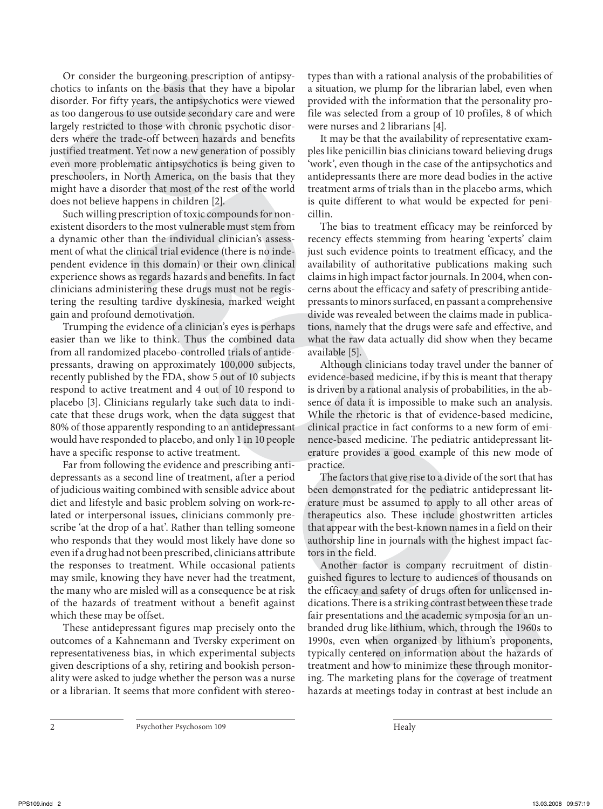Or consider the burgeoning prescription of antipsychotics to infants on the basis that they have a bipolar disorder. For fifty years, the antipsychotics were viewed as too dangerous to use outside secondary care and were largely restricted to those with chronic psychotic disorders where the trade-off between hazards and benefits justified treatment. Yet now a new generation of possibly even more problematic antipsychotics is being given to preschoolers, in North America, on the basis that they might have a disorder that most of the rest of the world does not believe happens in children [2] .

 Such willing prescription of toxic compounds for nonexistent disorders to the most vulnerable must stem from a dynamic other than the individual clinician's assessment of what the clinical trial evidence (there is no independent evidence in this domain) or their own clinical experience shows as regards hazards and benefits. In fact clinicians administering these drugs must not be registering the resulting tardive dyskinesia, marked weight gain and profound demotivation.

 Trumping the evidence of a clinician's eyes is perhaps easier than we like to think. Thus the combined data from all randomized placebo-controlled trials of antidepressants, drawing on approximately 100,000 subjects, recently published by the FDA, show 5 out of 10 subjects respond to active treatment and 4 out of 10 respond to placebo [3]. Clinicians regularly take such data to indicate that these drugs work, when the data suggest that 80% of those apparently responding to an antidepressant would have responded to placebo, and only 1 in 10 people have a specific response to active treatment.

 Far from following the evidence and prescribing antidepressants as a second line of treatment, after a period of judicious waiting combined with sensible advice about diet and lifestyle and basic problem solving on work-related or interpersonal issues, clinicians commonly prescribe 'at the drop of a hat'. Rather than telling someone who responds that they would most likely have done so even if a drug had not been prescribed, clinicians at tribute the responses to treatment. While occasional patients may smile, knowing they have never had the treatment, the many who are misled will as a consequence be at risk of the hazards of treatment without a benefit against which these may be offset.

 These antidepressant figures map precisely onto the outcomes of a Kahnemann and Tversky experiment on representativeness bias, in which experimental subjects given descriptions of a shy, retiring and bookish personality were asked to judge whether the person was a nurse or a librarian. It seems that more confident with stereotypes than with a rational analysis of the probabilities of a situation, we plump for the librarian label, even when provided with the information that the personality profile was selected from a group of 10 profiles, 8 of which were nurses and 2 librarians [4] .

 It may be that the availability of representative examples like penicillin bias clinicians toward believing drugs 'work', even though in the case of the antipsychotics and antidepressants there are more dead bodies in the active treatment arms of trials than in the placebo arms, which is quite different to what would be expected for penicillin.

 The bias to treatment efficacy may be reinforced by recency effects stemming from hearing 'experts' claim just such evidence points to treatment efficacy, and the availability of authoritative publications making such claims in high impact factor journals. In 2004, when concerns about the efficacy and safety of prescribing antidepressants to minors surfaced, en passant a comprehensive divide was revealed between the claims made in publications, namely that the drugs were safe and effective, and what the raw data actually did show when they became available [5].

 Although clinicians today travel under the banner of evidence-based medicine, if by this is meant that therapy is driven by a rational analysis of probabilities, in the absence of data it is impossible to make such an analysis. While the rhetoric is that of evidence-based medicine, clinical practice in fact conforms to a new form of eminence-based medicine. The pediatric antidepressant literature provides a good example of this new mode of practice.

 The factors that give rise to a divide of the sort that has been demonstrated for the pediatric antidepressant literature must be assumed to apply to all other areas of therapeutics also. These include ghostwritten articles that appear with the best-known names in a field on their authorship line in journals with the highest impact factors in the field.

 Another factor is company recruitment of distinguished figures to lecture to audiences of thousands on the efficacy and safety of drugs often for unlicensed indications. There is a striking contrast between these trade fair presentations and the academic symposia for an unbranded drug like lithium, which, through the 1960s to 1990s, even when organized by lithium's proponents, typically centered on information about the hazards of treatment and how to minimize these through monitoring. The marketing plans for the coverage of treatment hazards at meetings today in contrast at best include an